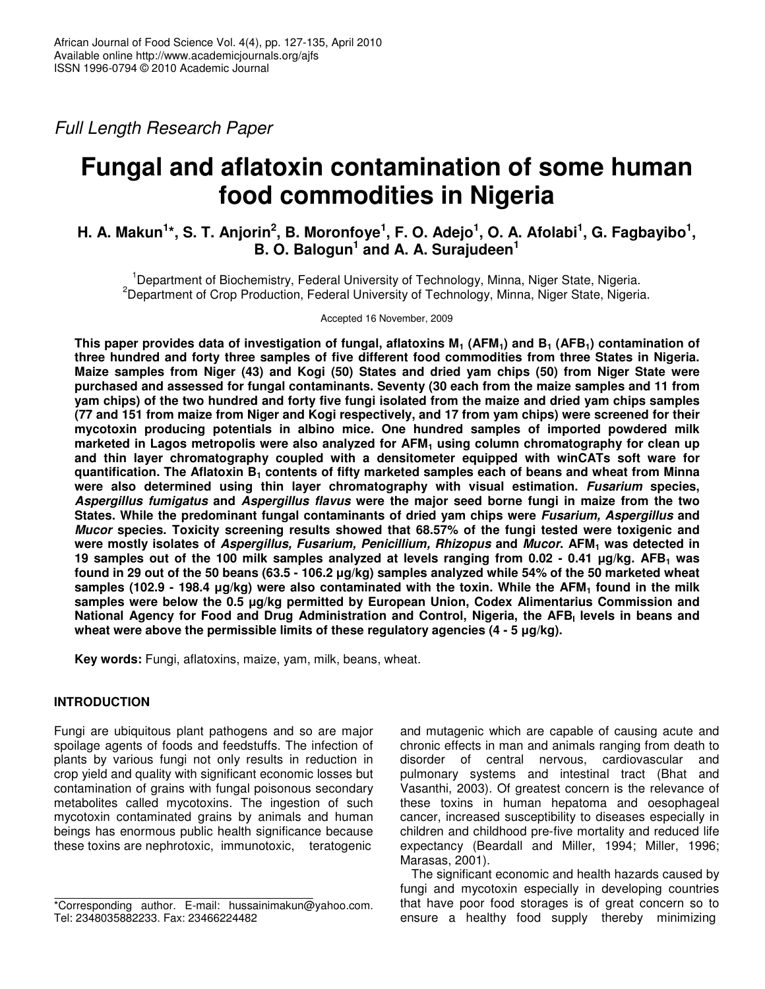Full Length Research Paper

# **Fungal and aflatoxin contamination of some human food commodities in Nigeria**

## **H. A. Makun** $^{1*}$ **, S. T. Anjorin** $^{2}$ **, B. Moronfoye** $^{1}$ **, F. O. Adejo** $^{1}$ **, O. A. Afolabi** $^{1}$ **, G. Fagbayibo** $^{1}$ **, B. O. Balogun<sup>1</sup> and A. A. Surajudeen<sup>1</sup>**

<sup>1</sup>Department of Biochemistry, Federal University of Technology, Minna, Niger State, Nigeria. <sup>2</sup>Department of Crop Production, Federal University of Technology, Minna, Niger State, Nigeria.

Accepted 16 November, 2009

**This paper provides data of investigation of fungal, aflatoxins M1 (AFM1) and B1 (AFB1) contamination of three hundred and forty three samples of five different food commodities from three States in Nigeria. Maize samples from Niger (43) and Kogi (50) States and dried yam chips (50) from Niger State were purchased and assessed for fungal contaminants. Seventy (30 each from the maize samples and 11 from yam chips) of the two hundred and forty five fungi isolated from the maize and dried yam chips samples (77 and 151 from maize from Niger and Kogi respectively, and 17 from yam chips) were screened for their mycotoxin producing potentials in albino mice. One hundred samples of imported powdered milk marketed in Lagos metropolis were also analyzed for AFM1 using column chromatography for clean up and thin layer chromatography coupled with a densitometer equipped with winCATs soft ware for quantification. The Aflatoxin B1 contents of fifty marketed samples each of beans and wheat from Minna were also determined using thin layer chromatography with visual estimation. Fusarium species, Aspergillus fumigatus and Aspergillus flavus were the major seed borne fungi in maize from the two States. While the predominant fungal contaminants of dried yam chips were Fusarium, Aspergillus and Mucor species. Toxicity screening results showed that 68.57% of the fungi tested were toxigenic and were mostly isolates of Aspergillus, Fusarium, Penicillium, Rhizopus and Mucor. AFM1 was detected in 19 samples out of the 100 milk samples analyzed at levels ranging from 0.02 - 0.41 µg/kg. AFB1 was found in 29 out of the 50 beans (63.5 - 106.2 µg/kg) samples analyzed while 54% of the 50 marketed wheat samples (102.9 - 198.4 µg/kg) were also contaminated with the toxin. While the AFM1 found in the milk samples were below the 0.5 µg/kg permitted by European Union, Codex Alimentarius Commission and National Agency for Food and Drug Administration and Control, Nigeria, the AFB<sup>I</sup> levels in beans and wheat were above the permissible limits of these regulatory agencies (4 - 5 µg/kg).** 

**Key words:** Fungi, aflatoxins, maize, yam, milk, beans, wheat.

## **INTRODUCTION**

Fungi are ubiquitous plant pathogens and so are major spoilage agents of foods and feedstuffs. The infection of plants by various fungi not only results in reduction in crop yield and quality with significant economic losses but contamination of grains with fungal poisonous secondary metabolites called mycotoxins. The ingestion of such mycotoxin contaminated grains by animals and human beings has enormous public health significance because these toxins are nephrotoxic, immunotoxic, teratogenic

and mutagenic which are capable of causing acute and chronic effects in man and animals ranging from death to disorder of central nervous, cardiovascular and pulmonary systems and intestinal tract (Bhat and Vasanthi, 2003). Of greatest concern is the relevance of these toxins in human hepatoma and oesophageal cancer, increased susceptibility to diseases especially in children and childhood pre-five mortality and reduced life expectancy (Beardall and Miller, 1994; Miller, 1996; Marasas, 2001).

The significant economic and health hazards caused by fungi and mycotoxin especially in developing countries that have poor food storages is of great concern so to ensure a healthy food supply thereby minimizing

<sup>\*</sup>Corresponding author. E-mail: hussainimakun@yahoo.com. Tel: 2348035882233. Fax: 23466224482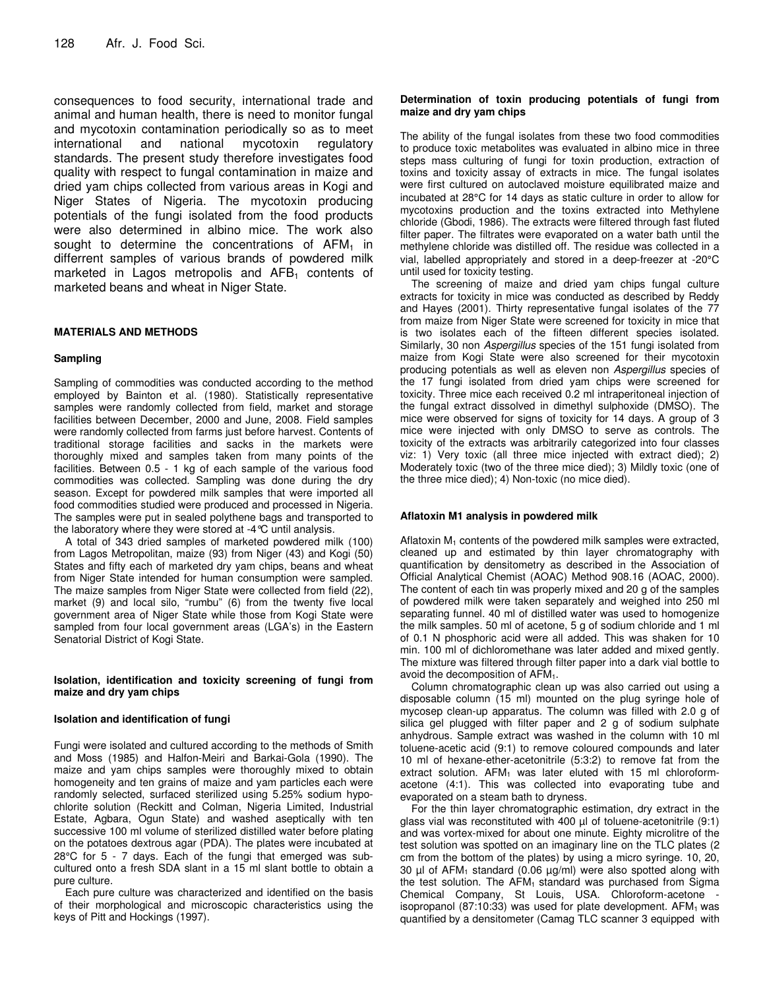consequences to food security, international trade and animal and human health, there is need to monitor fungal and mycotoxin contamination periodically so as to meet international and national mycotoxin regulatory standards. The present study therefore investigates food quality with respect to fungal contamination in maize and dried yam chips collected from various areas in Kogi and Niger States of Nigeria. The mycotoxin producing potentials of the fungi isolated from the food products were also determined in albino mice. The work also sought to determine the concentrations of  $AFM<sub>1</sub>$  in differrent samples of various brands of powdered milk marketed in Lagos metropolis and  $AFB<sub>1</sub>$  contents of marketed beans and wheat in Niger State.

## **MATERIALS AND METHODS**

## **Sampling**

Sampling of commodities was conducted according to the method employed by Bainton et al. (1980). Statistically representative samples were randomly collected from field, market and storage facilities between December, 2000 and June, 2008. Field samples were randomly collected from farms just before harvest. Contents of traditional storage facilities and sacks in the markets were thoroughly mixed and samples taken from many points of the facilities. Between 0.5 - 1 kg of each sample of the various food commodities was collected. Sampling was done during the dry season. Except for powdered milk samples that were imported all food commodities studied were produced and processed in Nigeria. The samples were put in sealed polythene bags and transported to the laboratory where they were stored at -4°C until analysis.

A total of 343 dried samples of marketed powdered milk (100) from Lagos Metropolitan, maize (93) from Niger (43) and Kogi (50) States and fifty each of marketed dry yam chips, beans and wheat from Niger State intended for human consumption were sampled. The maize samples from Niger State were collected from field (22), market (9) and local silo, "rumbu" (6) from the twenty five local government area of Niger State while those from Kogi State were sampled from four local government areas (LGA's) in the Eastern Senatorial District of Kogi State.

## **Isolation, identification and toxicity screening of fungi from maize and dry yam chips**

## **Isolation and identification of fungi**

Fungi were isolated and cultured according to the methods of Smith and Moss (1985) and Halfon-Meiri and Barkai-Gola (1990). The maize and yam chips samples were thoroughly mixed to obtain homogeneity and ten grains of maize and yam particles each were randomly selected, surfaced sterilized using 5.25% sodium hypochlorite solution (Reckitt and Colman, Nigeria Limited, Industrial Estate, Agbara, Ogun State) and washed aseptically with ten successive 100 ml volume of sterilized distilled water before plating on the potatoes dextrous agar (PDA). The plates were incubated at 28°C for 5 - 7 days. Each of the fungi that emerged was subcultured onto a fresh SDA slant in a 15 ml slant bottle to obtain a pure culture.

Each pure culture was characterized and identified on the basis of their morphological and microscopic characteristics using the keys of Pitt and Hockings (1997).

#### **Determination of toxin producing potentials of fungi from maize and dry yam chips**

The ability of the fungal isolates from these two food commodities to produce toxic metabolites was evaluated in albino mice in three steps mass culturing of fungi for toxin production, extraction of toxins and toxicity assay of extracts in mice. The fungal isolates were first cultured on autoclaved moisture equilibrated maize and incubated at 28°C for 14 days as static culture in order to allow for mycotoxins production and the toxins extracted into Methylene chloride (Gbodi, 1986). The extracts were filtered through fast fluted filter paper. The filtrates were evaporated on a water bath until the methylene chloride was distilled off. The residue was collected in a vial, labelled appropriately and stored in a deep-freezer at -20°C until used for toxicity testing.

The screening of maize and dried yam chips fungal culture extracts for toxicity in mice was conducted as described by Reddy and Hayes (2001). Thirty representative fungal isolates of the 77 from maize from Niger State were screened for toxicity in mice that is two isolates each of the fifteen different species isolated. Similarly, 30 non Aspergillus species of the 151 fungi isolated from maize from Kogi State were also screened for their mycotoxin producing potentials as well as eleven non Aspergillus species of the 17 fungi isolated from dried yam chips were screened for toxicity. Three mice each received 0.2 ml intraperitoneal injection of the fungal extract dissolved in dimethyl sulphoxide (DMSO). The mice were observed for signs of toxicity for 14 days. A group of 3 mice were injected with only DMSO to serve as controls. The toxicity of the extracts was arbitrarily categorized into four classes viz: 1) Very toxic (all three mice injected with extract died); 2) Moderately toxic (two of the three mice died); 3) Mildly toxic (one of the three mice died); 4) Non-toxic (no mice died).

## **Aflatoxin M1 analysis in powdered milk**

Aflatoxin  $M_1$  contents of the powdered milk samples were extracted, cleaned up and estimated by thin layer chromatography with quantification by densitometry as described in the Association of Official Analytical Chemist (AOAC) Method 908.16 (AOAC, 2000). The content of each tin was properly mixed and 20 g of the samples of powdered milk were taken separately and weighed into 250 ml separating funnel. 40 ml of distilled water was used to homogenize the milk samples. 50 ml of acetone, 5 g of sodium chloride and 1 ml of 0.1 N phosphoric acid were all added. This was shaken for 10 min. 100 ml of dichloromethane was later added and mixed gently. The mixture was filtered through filter paper into a dark vial bottle to avoid the decomposition of AFM1.

Column chromatographic clean up was also carried out using a disposable column (15 ml) mounted on the plug syringe hole of mycosep clean-up apparatus. The column was filled with 2.0 g of silica gel plugged with filter paper and 2 g of sodium sulphate anhydrous. Sample extract was washed in the column with 10 ml toluene-acetic acid (9:1) to remove coloured compounds and later 10 ml of hexane-ether-acetonitrile (5:3:2) to remove fat from the extract solution.  $AFM<sub>1</sub>$  was later eluted with 15 ml chloroformacetone (4:1). This was collected into evaporating tube and evaporated on a steam bath to dryness.

For the thin layer chromatographic estimation, dry extract in the glass vial was reconstituted with 400 µl of toluene-acetonitrile (9:1) and was vortex-mixed for about one minute. Eighty microlitre of the test solution was spotted on an imaginary line on the TLC plates (2 cm from the bottom of the plates) by using a micro syringe. 10, 20, 30  $\mu$ l of AFM<sub>1</sub> standard (0.06  $\mu$ g/ml) were also spotted along with the test solution. The  $AFM<sub>1</sub>$  standard was purchased from Sigma Chemical Company, St Louis, USA. Chloroform-acetone isopropanol (87:10:33) was used for plate development.  $AFM<sub>1</sub>$  was quantified by a densitometer (Camag TLC scanner 3 equipped with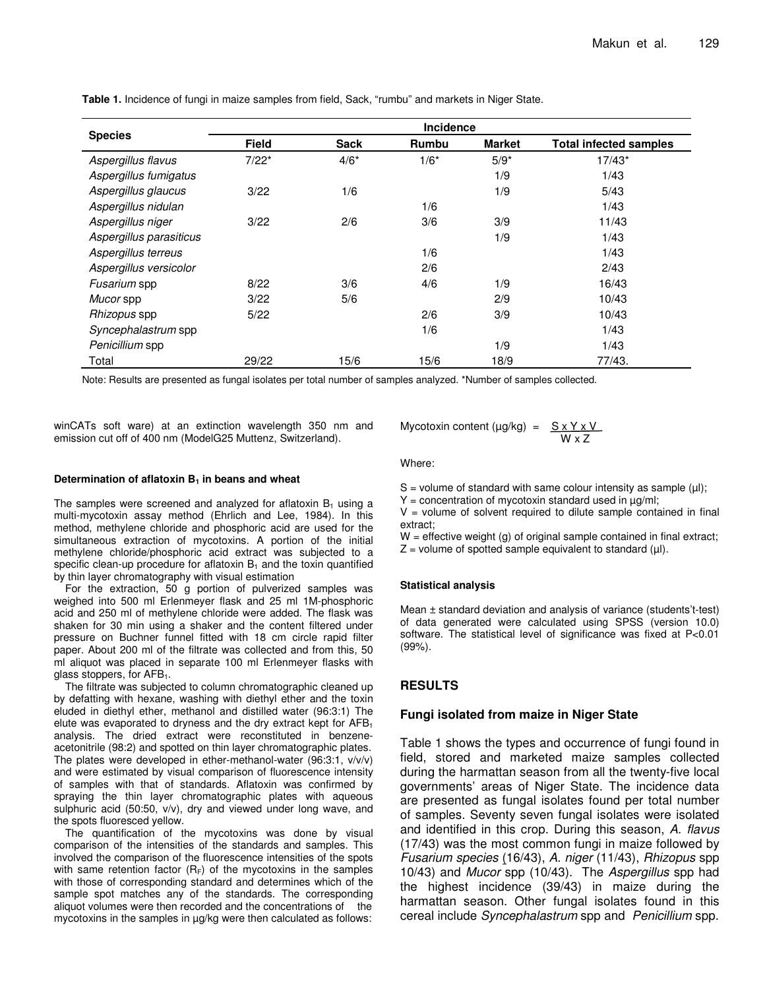|                         |              |             | <b>Incidence</b> |               |                               |
|-------------------------|--------------|-------------|------------------|---------------|-------------------------------|
| <b>Species</b>          | <b>Field</b> | <b>Sack</b> | Rumbu            | <b>Market</b> | <b>Total infected samples</b> |
| Aspergillus flavus      | $7/22*$      | $4/6*$      | $1/6*$           | $5/9*$        | $17/43*$                      |
| Aspergillus fumigatus   |              |             |                  | 1/9           | 1/43                          |
| Aspergillus glaucus     | 3/22         | 1/6         |                  | 1/9           | 5/43                          |
| Aspergillus nidulan     |              |             | 1/6              |               | 1/43                          |
| Aspergillus niger       | 3/22         | 2/6         | 3/6              | 3/9           | 11/43                         |
| Aspergillus parasiticus |              |             |                  | 1/9           | 1/43                          |
| Aspergillus terreus     |              |             | 1/6              |               | 1/43                          |
| Aspergillus versicolor  |              |             | 2/6              |               | 2/43                          |
| Fusarium spp            | 8/22         | 3/6         | 4/6              | 1/9           | 16/43                         |
| Mucor spp               | 3/22         | 5/6         |                  | 2/9           | 10/43                         |
| Rhizopus spp            | 5/22         |             | 2/6              | 3/9           | 10/43                         |
| Syncephalastrum spp     |              |             | 1/6              |               | 1/43                          |
| Penicillium spp         |              |             |                  | 1/9           | 1/43                          |
| Total                   | 29/22        | 15/6        | 15/6             | 18/9          | 77/43.                        |

**Table 1.** Incidence of fungi in maize samples from field, Sack, "rumbu" and markets in Niger State.

Note: Results are presented as fungal isolates per total number of samples analyzed. \*Number of samples collected.

winCATs soft ware) at an extinction wavelength 350 nm and emission cut off of 400 nm (ModelG25 Muttenz, Switzerland).

#### **Determination of aflatoxin B1 in beans and wheat**

The samples were screened and analyzed for aflatoxin  $B_1$  using a multi-mycotoxin assay method (Ehrlich and Lee, 1984). In this method, methylene chloride and phosphoric acid are used for the simultaneous extraction of mycotoxins. A portion of the initial methylene chloride/phosphoric acid extract was subjected to a specific clean-up procedure for aflatoxin  $B_1$  and the toxin quantified by thin layer chromatography with visual estimation

For the extraction, 50 g portion of pulverized samples was weighed into 500 ml Erlenmeyer flask and 25 ml 1M-phosphoric acid and 250 ml of methylene chloride were added. The flask was shaken for 30 min using a shaker and the content filtered under pressure on Buchner funnel fitted with 18 cm circle rapid filter paper. About 200 ml of the filtrate was collected and from this, 50 ml aliquot was placed in separate 100 ml Erlenmeyer flasks with glass stoppers, for  $AFB<sub>1</sub>$ .

The filtrate was subjected to column chromatographic cleaned up by defatting with hexane, washing with diethyl ether and the toxin eluded in diethyl ether, methanol and distilled water (96:3:1) The elute was evaporated to dryness and the dry extract kept for AFB<sub>1</sub> analysis. The dried extract were reconstituted in benzeneacetonitrile (98:2) and spotted on thin layer chromatographic plates. The plates were developed in ether-methanol-water (96:3:1, v/v/v) and were estimated by visual comparison of fluorescence intensity of samples with that of standards. Aflatoxin was confirmed by spraying the thin layer chromatographic plates with aqueous sulphuric acid (50:50, v/v), dry and viewed under long wave, and the spots fluoresced yellow.

The quantification of the mycotoxins was done by visual comparison of the intensities of the standards and samples. This involved the comparison of the fluorescence intensities of the spots with same retention factor  $(R_F)$  of the mycotoxins in the samples with those of corresponding standard and determines which of the sample spot matches any of the standards. The corresponding aliquot volumes were then recorded and the concentrations of the mycotoxins in the samples in µg/kg were then calculated as follows:

$$
Mycotoxin content (µg/kg) = \frac{S \times Y \times V}{W \times Z}
$$

Where:

 $S =$  volume of standard with same colour intensity as sample  $(\mu I)$ ;

 $Y =$  concentration of mycotoxin standard used in  $\mu$ g/ml;

 $V =$  volume of solvent required to dilute sample contained in final extract;

 $W =$  effective weight (g) of original sample contained in final extract;  $Z =$  volume of spotted sample equivalent to standard ( $\mu$ I).

## **Statistical analysis**

Mean ± standard deviation and analysis of variance (students't-test) of data generated were calculated using SPSS (version 10.0) software. The statistical level of significance was fixed at P<0.01 (99%).

## **RESULTS**

## **Fungi isolated from maize in Niger State**

Table 1 shows the types and occurrence of fungi found in field, stored and marketed maize samples collected during the harmattan season from all the twenty-five local governments' areas of Niger State. The incidence data are presented as fungal isolates found per total number of samples. Seventy seven fungal isolates were isolated and identified in this crop. During this season, A. flavus (17/43) was the most common fungi in maize followed by Fusarium species (16/43), A. niger (11/43), Rhizopus spp 10/43) and Mucor spp (10/43). The Aspergillus spp had the highest incidence (39/43) in maize during the harmattan season. Other fungal isolates found in this cereal include Syncephalastrum spp and Penicillium spp.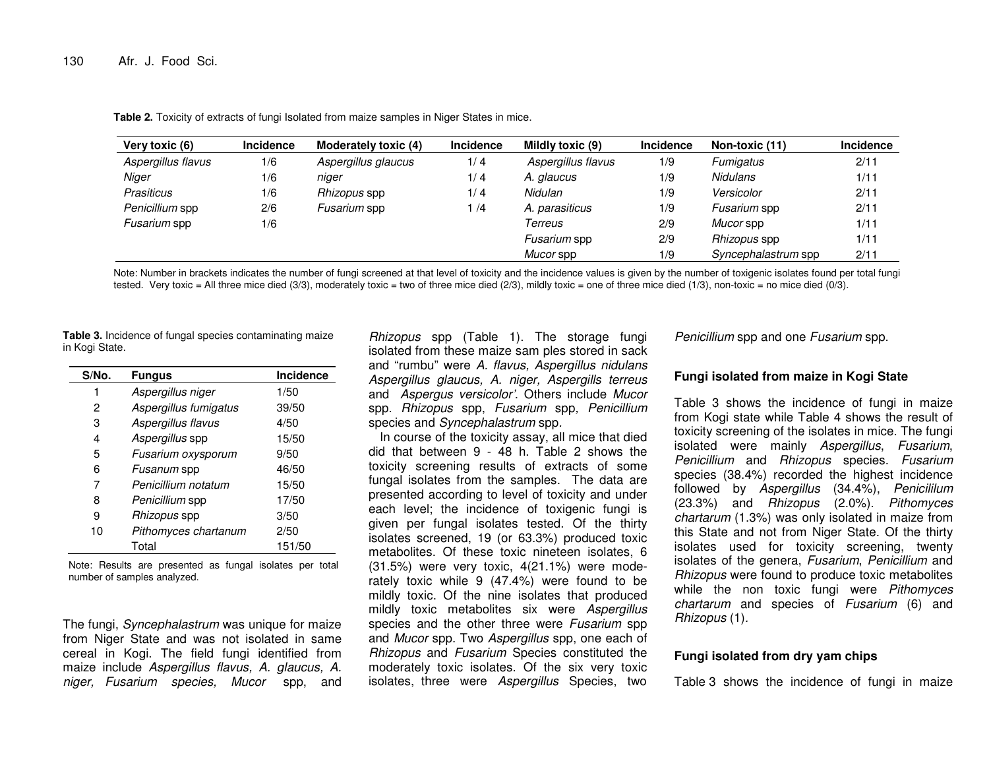| Very toxic (6)     | <b>Incidence</b> | Moderately toxic (4) | Incidence | Mildly toxic (9)   | Incidence | Non-toxic (11)      | Incidence |
|--------------------|------------------|----------------------|-----------|--------------------|-----------|---------------------|-----------|
| Aspergillus flavus | 1/6              | Aspergillus glaucus  | 1/4       | Aspergillus flavus | 1/9       | Fumigatus           | 2/11      |
| Niger              | 1/6              | niger                | 1/4       | A. glaucus         | 1/9       | Nidulans            | 1/11      |
| Prasiticus         | 1/6              | Rhizopus spp         | 1/4       | Nidulan            | 1/9       | Versicolor          | 2/11      |
| Penicillium spp    | 2/6              | Fusarium spp         | 1/4       | A. parasiticus     | 1/9       | Fusarium spp        | 2/11      |
| Fusarium spp       | 1/6              |                      |           | Terreus            | 2/9       | Mucor spp           | 1/11      |
|                    |                  |                      |           | Fusarium spp       | 2/9       | Rhizopus spp        | 1/11      |
|                    |                  |                      |           | Mucor spp          | 1/9       | Syncephalastrum spp | 2/11      |

**Table 2.** Toxicity of extracts of fungi Isolated from maize samples in Niger States in mice.

Note: Number in brackets indicates the number of fungi screened at that level of toxicity and the incidence values is given by the number of toxigenic isolates found per total fungi tested. Very toxic = All three mice died (3/3), moderately toxic = two of three mice died (2/3), mildly toxic = one of three mice died (1/3), non-toxic = no mice died (0/3).

**Table 3.** Incidence of fungal species contaminating maize in Kogi State.

| S/No. | <b>Fungus</b>         | Incidence |
|-------|-----------------------|-----------|
| 1     | Aspergillus niger     | 1/50      |
| 2     | Aspergillus fumigatus | 39/50     |
| 3     | Aspergillus flavus    | 4/50      |
| 4     | Aspergillus spp       | 15/50     |
| 5     | Fusarium oxysporum    | 9/50      |
| 6     | Fusanum spp           | 46/50     |
| 7     | Penicillium notatum   | 15/50     |
| 8     | Penicillium spp       | 17/50     |
| 9     | Rhizopus spp          | 3/50      |
| 10    | Pithomyces chartanum  | 2/50      |
|       | Total                 | 151/50    |

Note: Results are presented as fungal isolates per total number of samples analyzed.

The fungi, Syncephalastrum was unique for maize from Niger State and was not isolated in same cereal in Kogi. The field fungi identified from maize include Aspergillus flavus, A. glaucus, A. niger, Fusarium species, Mucor spp, and

Rhizopus spp (Table 1). The storage fungi isolated from these maize sam ples stored in sack and "rumbu" were A. flavus, Aspergillus nidulans Aspergillus glaucus, A. niger, Aspergills terreus and Aspergus versicolor'. Others include Mucor spp. Rhizopus spp, Fusarium spp, Penicillium species and Syncephalastrum spp.

In course of the toxicity assay, all mice that died did that between 9 - 48 h. Table 2 shows the toxicity screening results of extracts of some fungal isolates from the samples. The data are presented according to level of toxicity and under each level; the incidence of toxigenic fungi is given per fungal isolates tested. Of the thirty isolates screened, 19 (or 63.3%) produced toxic metabolites. Of these toxic nineteen isolates, 6 (31.5%) were very toxic, 4(21.1%) were moderately toxic while 9 (47.4%) were found to be mildly toxic. Of the nine isolates that produced mildly toxic metabolites six were Aspergillus species and the other three were Fusarium spp and *Mucor* spp. Two *Aspergillus* spp, one each of Rhizopus and Fusarium Species constituted the moderately toxic isolates. Of the six very toxic isolates, three were Aspergillus Species, two

Penicillium spp and one Fusarium spp.

## **Fungi isolated from maize in Kogi State**

Table 3 shows the incidence of fungi in maize from Kogi state while Table 4 shows the result of toxicity screening of the isolates in mice. The fungi isolated were mainly Aspergillus, Fusarium, Penicillium and Rhizopus species. Fusarium species (38.4%) recorded the highest incidence followed by Aspergillus (34.4%), Penicililum (23.3%) and Rhizopus (2.0%). Pithomyces chartarum (1.3%) was only isolated in maize from this State and not from Niger State. Of the thirty isolates used for toxicity screening, twenty isolates of the genera, Fusarium, Penicillium and Rhizopus were found to produce toxic metabolites while the non toxic fungi were Pithomyces chartarum and species of Fusarium (6) and Rhizopus (1).

## **Fungi isolated from dry yam chips**

Table 3 shows the incidence of fungi in maize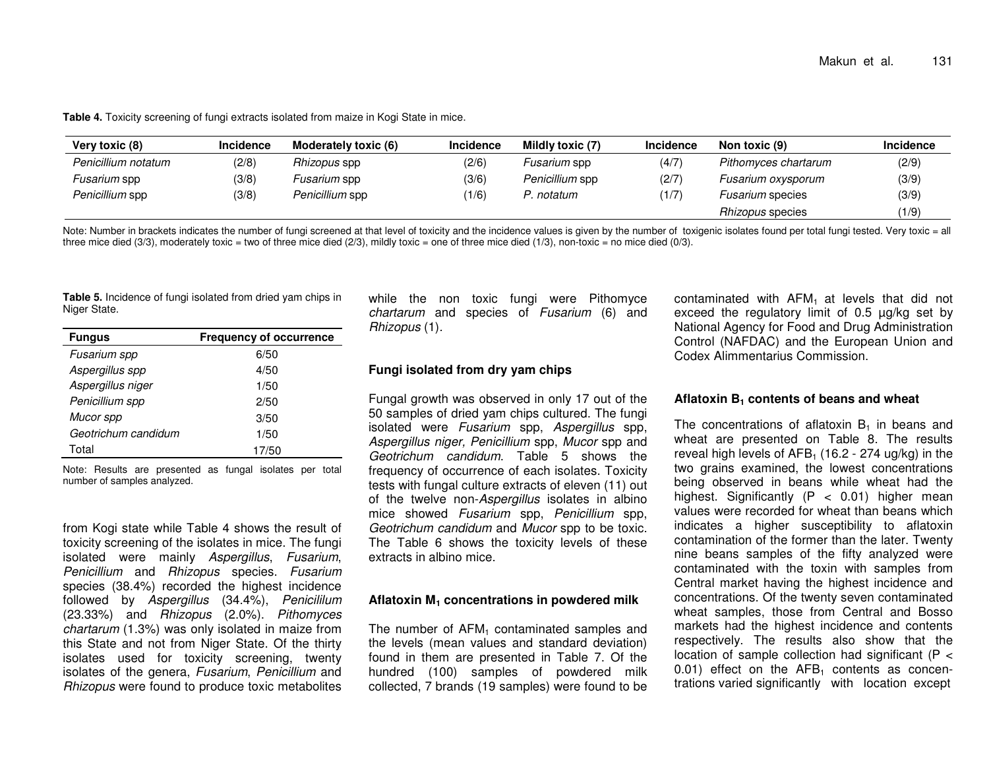**Table 4.** Toxicity screening of fungi extracts isolated from maize in Kogi State in mice.

| Very toxic (8)      | <b>Incidence</b> | Moderately toxic (6) | <b>Incidence</b> | Mildly toxic (7) | <b>Incidence</b> | Non toxic (9)           | <b>Incidence</b> |
|---------------------|------------------|----------------------|------------------|------------------|------------------|-------------------------|------------------|
| Penicillium notatum | (2/8)            | Rhizopus spp         | (2/6)            | Fusarium spp     | (4/7)            | Pithomyces chartarum    | (2/9)            |
| Fusarium spp        | (3/8)            | Fusarium spp         | (3/6)            | Penicillium spp  | (2/7)            | Fusarium oxysporum      | (3/9)            |
| Penicillium spp     | (3/8)            | Penicillium spp      | (1/6)            | . notatum        | (1/7)            | <i>Fusarium</i> species | (3/9)            |
|                     |                  |                      |                  |                  |                  | <i>Rhizopus</i> species | (1/9)            |

Note: Number in brackets indicates the number of fungi screened at that level of toxicity and the incidence values is given by the number of toxigenic isolates found per total fungi tested. Very toxic = all three mice died (3/3), moderately toxic = two of three mice died (2/3), mildly toxic = one of three mice died (1/3), non-toxic = no mice died (0/3).

**Table 5.** Incidence of fungi isolated from dried yam chips in Niger State.

| <b>Fungus</b>       | <b>Frequency of occurrence</b> |
|---------------------|--------------------------------|
| Fusarium spp        | 6/50                           |
| Aspergillus spp     | 4/50                           |
| Aspergillus niger   | 1/50                           |
| Penicillium spp     | 2/50                           |
| Mucor spp           | 3/50                           |
| Geotrichum candidum | 1/50                           |
| Total               | 17/50                          |

Note: Results are presented as fungal isolates per total number of samples analyzed.

from Kogi state while Table 4 shows the result of toxicity screening of the isolates in mice. The fungi isolated were mainly Aspergillus, Fusarium, Penicillium and Rhizopus species. Fusarium species (38.4%) recorded the highest incidence followed by Aspergillus (34.4%), Penicililum (23.33%) and Rhizopus (2.0%). Pithomyces chartarum (1.3%) was only isolated in maize from this State and not from Niger State. Of the thirty isolates used for toxicity screening, twenty isolates of the genera, Fusarium, Penicillium and Rhizopus were found to produce toxic metabolites while the non toxic fungi were Pithomyce chartarum and species of Fusarium (6) and Rhizopus (1).

## **Fungi isolated from dry yam chips**

Fungal growth was observed in only 17 out of the 50 samples of dried yam chips cultured. The fungi isolated were Fusarium spp, Aspergillus spp, Aspergillus niger, Penicillium spp, Mucor spp and Geotrichum candidum. Table 5 shows the frequency of occurrence of each isolates. Toxicity tests with fungal culture extracts of eleven (11) out of the twelve non-Aspergillus isolates in albino mice showed Fusarium spp, Penicillium spp,Geotrichum candidum and Mucor spp to be toxic. The Table 6 shows the toxicity levels of these extracts in albino mice.

## **Aflatoxin M1 concentrations in powdered milk**

The number of  $AFM<sub>1</sub>$  contaminated samples and the levels (mean values and standard deviation) found in them are presented in Table 7. Of the hundred (100) samples of powdered milk collected, 7 brands (19 samples) were found to be contaminated with AFM<sub>1</sub> at levels that did not exceed the regulatory limit of 0.5 µg/kg set by National Agency for Food and Drug Administration Control (NAFDAC) and the European Union and Codex Alimmentarius Commission.

## **Aflatoxin B1 contents of beans and wheat**

The concentrations of aflatoxin  $B_1$  in beans and wheat are presented on Table 8. The results reveal high levels of  $AFB_1$  (16.2 - 274 ug/kg) in the two grains examined, the lowest concentrations being observed in beans while wheat had the highest. Significantly (P < 0.01) higher mean values were recorded for wheat than beans which indicates a higher susceptibility to aflatoxin contamination of the former than the later. Twenty nine beans samples of the fifty analyzed were contaminated with the toxin with samples from Central market having the highest incidence and concentrations. Of the twenty seven contaminated wheat samples, those from Central and Bosso markets had the highest incidence and contents respectively. The results also show that the location of sample collection had significant (P < 0.01) effect on the  $AFB<sub>1</sub>$  contents as concentrations varied significantly with location except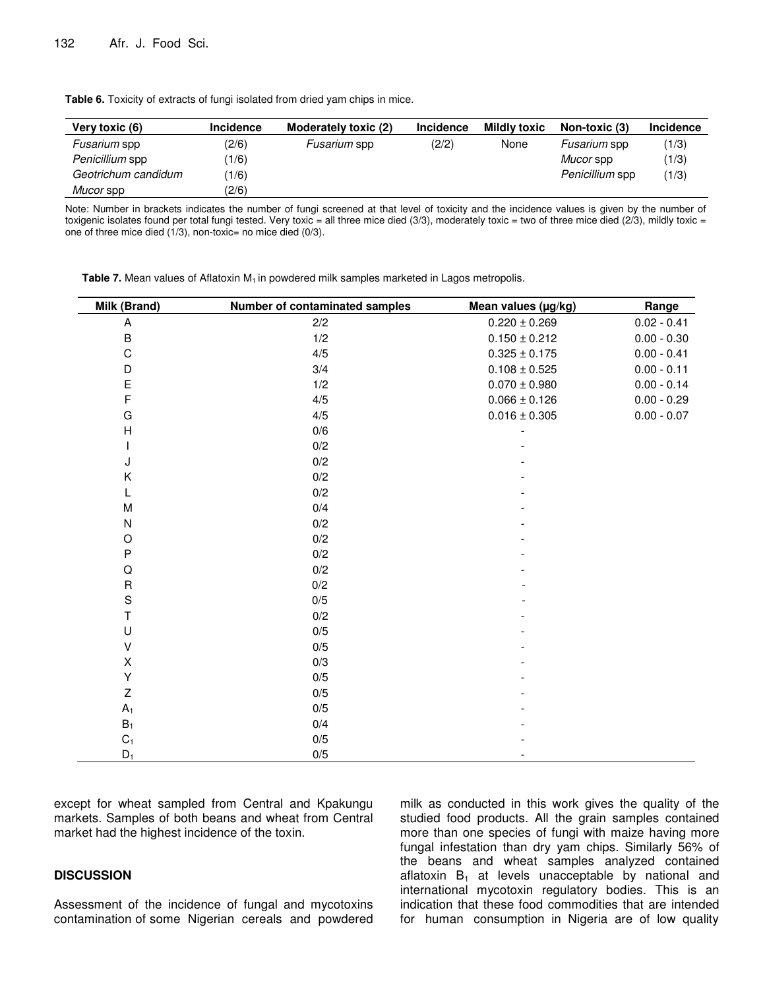| Very toxic (6)      | <b>Incidence</b> | Moderately toxic (2) | <b>Incidence</b> | <b>Mildly toxic</b> | Non-toxic (3)   | Incidence |
|---------------------|------------------|----------------------|------------------|---------------------|-----------------|-----------|
| Fusarium spp        | (2/6)            | Fusarium spp         | (2/2)            | None                | Fusarium spp    | (1/3)     |
| Penicillium spp     | 1/6)             |                      |                  |                     | Mucor spp       | (1/3)     |
| Geotrichum candidum | 1/6)             |                      |                  |                     | Penicillium spp | (1/3)     |
| Mucor spp           | (2/6)            |                      |                  |                     |                 |           |

**Table 6.** Toxicity of extracts of fungi isolated from dried yam chips in mice.

Note: Number in brackets indicates the number of fungi screened at that level of toxicity and the incidence values is given by the number of toxigenic isolates found per total fungi tested. Very toxic = all three mice died  $(3/3)$ , moderately toxic = two of three mice died  $(2/3)$ , mildly toxic = one of three mice died (1/3), non-toxic= no mice died (0/3).

**Table 7.** Mean values of Aflatoxin M<sub>1</sub> in powdered milk samples marketed in Lagos metropolis.

| Milk (Brand)   | Number of contaminated samples | Mean values (µg/kg) | Range         |
|----------------|--------------------------------|---------------------|---------------|
| A              | 2/2                            | $0.220 \pm 0.269$   | $0.02 - 0.41$ |
| $\sf B$        | 1/2                            | $0.150 \pm 0.212$   | $0.00 - 0.30$ |
| $\mathbf C$    | 4/5                            | $0.325 \pm 0.175$   | $0.00 - 0.41$ |
| D              | 3/4                            | $0.108 \pm 0.525$   | $0.00 - 0.11$ |
| E              | 1/2                            | $0.070\pm0.980$     | $0.00 - 0.14$ |
| F              | 4/5                            | $0.066 \pm 0.126$   | $0.00 - 0.29$ |
| G              | 4/5                            | $0.016 \pm 0.305$   | $0.00 - 0.07$ |
| $\mathsf{H}$   | 0/6                            |                     |               |
| I              | 0/2                            |                     |               |
| J              | 0/2                            |                     |               |
| Κ              | 0/2                            |                     |               |
| L              | 0/2                            |                     |               |
| M              | 0/4                            |                     |               |
| ${\sf N}$      | $0/2$                          |                     |               |
| O              | $0/2$                          |                     |               |
| ${\sf P}$      | 0/2                            |                     |               |
| Q              | 0/2                            |                     |               |
| $\mathsf R$    | $0/2$                          |                     |               |
| $\mathbf S$    | 0/5                            |                     |               |
| T              | 0/2                            |                     |               |
| U              | 0/5                            |                     |               |
| $\sf V$        | 0/5                            |                     |               |
| Χ              | 0/3                            |                     |               |
| Υ              | 0/5                            |                     |               |
| Z              | 0/5                            |                     |               |
| $A_1$          | 0/5                            |                     |               |
| $B_1$          | 0/4                            |                     |               |
| C <sub>1</sub> | 0/5                            |                     |               |
| $D_1$          | 0/5                            |                     |               |

except for wheat sampled from Central and Kpakungu markets. Samples of both beans and wheat from Central market had the highest incidence of the toxin.

## **DISCUSSION**

Assessment of the incidence of fungal and mycotoxins contamination of some Nigerian cereals and powdered milk as conducted in this work gives the quality of the studied food products. All the grain samples contained more than one species of fungi with maize having more fungal infestation than dry yam chips. Similarly 56% of the beans and wheat samples analyzed contained aflatoxin  $B_1$  at levels unacceptable by national and international mycotoxin regulatory bodies. This is an indication that these food commodities that are intended for human consumption in Nigeria are of low quality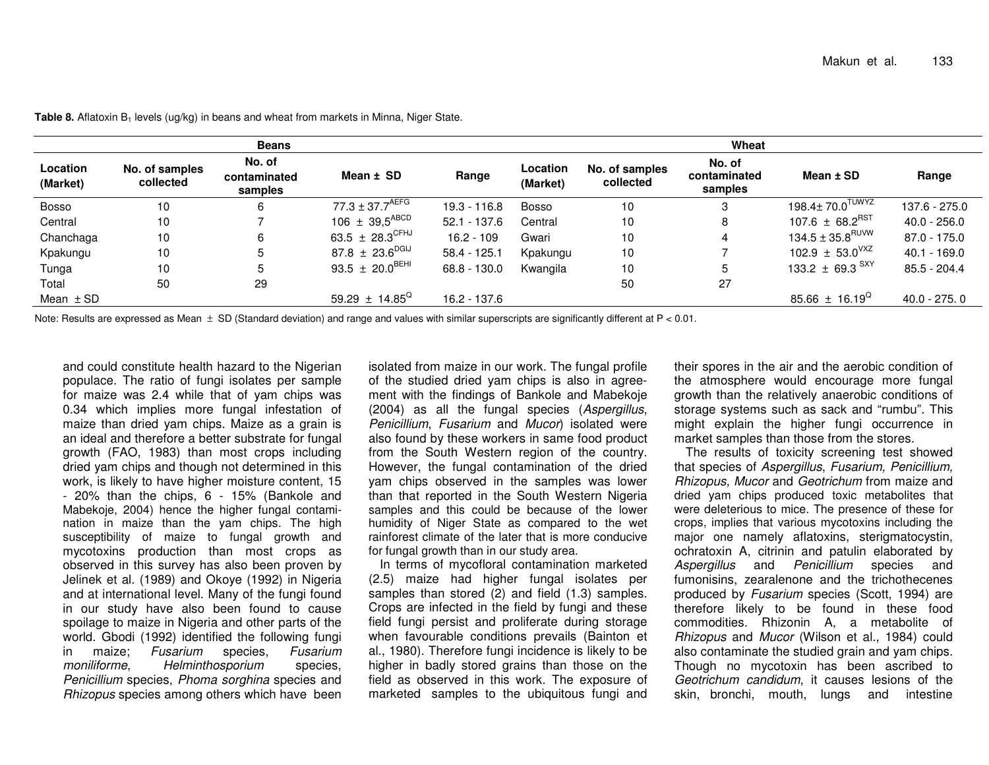| <b>Beans</b>         |                             |                                   |                                 | Wheat          |                      |                             |                                   |                                 |                |
|----------------------|-----------------------------|-----------------------------------|---------------------------------|----------------|----------------------|-----------------------------|-----------------------------------|---------------------------------|----------------|
| Location<br>(Market) | No. of samples<br>collected | No. of<br>contaminated<br>samples | Mean $\pm$ SD                   | Range          | Location<br>(Market) | No. of samples<br>collected | No. of<br>contaminated<br>samples | Mean $±$ SD                     | Range          |
| <b>Bosso</b>         | 10                          | 6                                 | $77.3 \pm 37.7$ <sup>AEFG</sup> | $19.3 - 116.8$ | <b>Bosso</b>         | 10                          | 3                                 | $198.4\pm70.0^{TUWYZ}$          | 137.6 - 275.0  |
| Central              | 10                          |                                   | 106 $\pm$ 39,5 <sup>ABCD</sup>  | $52.1 - 137.6$ | Central              | 10                          | 8                                 | 107.6 $\pm$ 68.2 <sup>RST</sup> | $40.0 - 256.0$ |
| Chanchaga            | 10                          | 6                                 | 63.5 $\pm$ 28.3 <sup>CFHJ</sup> | $16.2 - 109$   | Gwari                | 10                          | 4                                 | $134.5 \pm 35.8^\mathsf{RUVW}$  | $87.0 - 175.0$ |
| Kpakungu             | 10                          | 5                                 | 87.8 $\pm$ 23.6 <sup>DGIJ</sup> | $58.4 - 125.1$ | Kpakungu             | 10                          |                                   | 102.9 $\pm$ 53.0 <sup>VXZ</sup> | $40.1 - 169.0$ |
| Tunga                | 10                          | 5                                 | 93.5 $\pm$ 20.0 <sup>BEHI</sup> | 68.8 - 130.0   | Kwangila             | 10                          | 5                                 | 133.2 $\pm$ 69.3 $SXY$          | 85.5 - 204.4   |
| Total                | 50                          | 29                                |                                 |                |                      | 50                          | 27                                |                                 |                |
| Mean $\pm$ SD        |                             |                                   | 59.29 ± 14.85 <sup>Q</sup>      | 16.2 - 137.6   |                      |                             |                                   | 85.66 $\pm$ 16.19 <sup>Q</sup>  | 40.0 - 275.0   |

**Table 8.** Aflatoxin B<sub>1</sub> levels (ug/kg) in beans and wheat from markets in Minna, Niger State.

Note: Results are expressed as Mean  $\pm$  SD (Standard deviation) and range and values with similar superscripts are significantly different at P < 0.01.

and could constitute health hazard to the Nigerian populace. The ratio of fungi isolates per sample for maize was 2.4 while that of yam chips was 0.34 which implies more fungal infestation of maize than dried yam chips. Maize as a grain is an ideal and therefore a better substrate for fungal growth (FAO, 1983) than most crops including dried yam chips and though not determined in this work, is likely to have higher moisture content, 15 - 20% than the chips, 6 - 15% (Bankole and Mabekoje, 2004) hence the higher fungal contamination in maize than the yam chips. The high susceptibility of maize to fungal growth and mycotoxins production than most crops as observed in this survey has also been proven by Jelinek et al. (1989) and Okoye (1992) in Nigeria and at international level. Many of the fungi found in our study have also been found to cause spoilage to maize in Nigeria and other parts of the world. Gbodi (1992) identified the following fungi Fusarium in maize; Fusarium species, species, moniliforme, Helminthosporium Penicillium species, Phoma sorghina species and Rhizopus species among others which have been isolated from maize in our work. The fungal profile of the studied dried yam chips is also in agreement with the findings of Bankole and Mabekoje (2004) as all the fungal species (Aspergillus, Penicillium, Fusarium and Mucor) isolated were also found by these workers in same food product from the South Western region of the country. However, the fungal contamination of the dried yam chips observed in the samples was lower than that reported in the South Western Nigeria samples and this could be because of the lower humidity of Niger State as compared to the wet rainforest climate of the later that is more conducive for fungal growth than in our study area.

 In terms of mycofloral contamination marketed (2.5) maize had higher fungal isolates per samples than stored (2) and field (1.3) samples. Crops are infected in the field by fungi and these field fungi persist and proliferate during storage when favourable conditions prevails (Bainton et al., 1980). Therefore fungi incidence is likely to be higher in badly stored grains than those on the field as observed in this work. The exposure of marketed samples to the ubiquitous fungi and

their spores in the air and the aerobic condition of the atmosphere would encourage more fungal growth than the relatively anaerobic conditions of storage systems such as sack and "rumbu". This might explain the higher fungi occurrence in market samples than those from the stores.

 The results of toxicity screening test showed that species of Aspergillus, Fusarium, Penicillium, Rhizopus, Mucor and Geotrichum from maize and dried yam chips produced toxic metabolites that were deleterious to mice. The presence of these for crops, implies that various mycotoxins including the major one namely aflatoxins, sterigmatocystin, ochratoxin A, citrinin and patulin elaborated by Aspergillus and Penicillium species and fumonisins, zearalenone and the trichothecenes produced by Fusarium species (Scott, 1994) are therefore likely to be found in these food commodities. Rhizonin A, a metabolite of Rhizopus and Mucor (Wilson et al., 1984) could also contaminate the studied grain and yam chips. Though no mycotoxin has been ascribed to Geotrichum candidum, it causes lesions of the skin, bronchi, mouth, lungs and intestine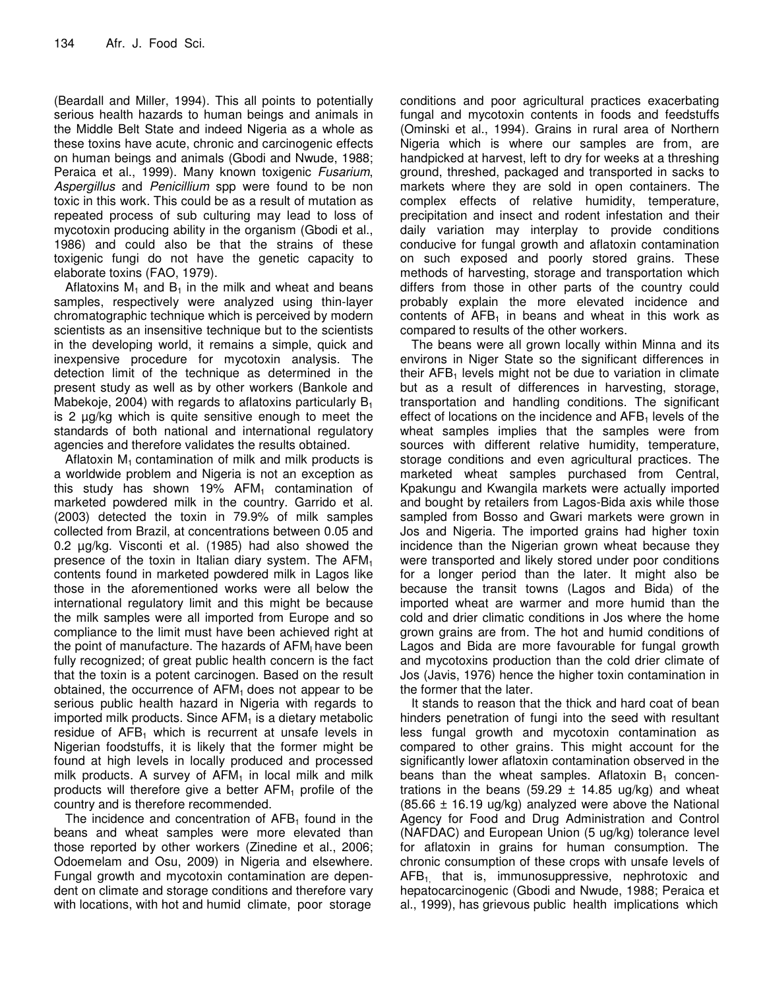(Beardall and Miller, 1994). This all points to potentially serious health hazards to human beings and animals in the Middle Belt State and indeed Nigeria as a whole as these toxins have acute, chronic and carcinogenic effects on human beings and animals (Gbodi and Nwude, 1988; Peraica et al., 1999). Many known toxigenic Fusarium, Aspergillus and Penicillium spp were found to be non toxic in this work. This could be as a result of mutation as repeated process of sub culturing may lead to loss of mycotoxin producing ability in the organism (Gbodi et al., 1986) and could also be that the strains of these toxigenic fungi do not have the genetic capacity to elaborate toxins (FAO, 1979).

Aflatoxins  $M_1$  and  $B_1$  in the milk and wheat and beans samples, respectively were analyzed using thin-layer chromatographic technique which is perceived by modern scientists as an insensitive technique but to the scientists in the developing world, it remains a simple, quick and inexpensive procedure for mycotoxin analysis. The detection limit of the technique as determined in the present study as well as by other workers (Bankole and Mabekoje, 2004) with regards to aflatoxins particularly  $B_1$ is 2 µg/kg which is quite sensitive enough to meet the standards of both national and international regulatory agencies and therefore validates the results obtained.

Aflatoxin  $M_1$  contamination of milk and milk products is a worldwide problem and Nigeria is not an exception as this study has shown 19%  $AFM<sub>1</sub>$  contamination of marketed powdered milk in the country. Garrido et al. (2003) detected the toxin in 79.9% of milk samples collected from Brazil, at concentrations between 0.05 and 0.2 µg/kg. Visconti et al. (1985) had also showed the presence of the toxin in Italian diary system. The  $AFM<sub>1</sub>$ contents found in marketed powdered milk in Lagos like those in the aforementioned works were all below the international regulatory limit and this might be because the milk samples were all imported from Europe and so compliance to the limit must have been achieved right at the point of manufacture. The hazards of AFM<sub>I</sub> have been fully recognized; of great public health concern is the fact that the toxin is a potent carcinogen. Based on the result obtained, the occurrence of  $AFM<sub>1</sub>$  does not appear to be serious public health hazard in Nigeria with regards to imported milk products. Since  $AFM<sub>1</sub>$  is a dietary metabolic residue of  $AFB<sub>1</sub>$  which is recurrent at unsafe levels in Nigerian foodstuffs, it is likely that the former might be found at high levels in locally produced and processed milk products. A survey of  $AFM<sub>1</sub>$  in local milk and milk products will therefore give a better  $AFM<sub>1</sub>$  profile of the country and is therefore recommended.

The incidence and concentration of  $AFB<sub>1</sub>$  found in the beans and wheat samples were more elevated than those reported by other workers (Zinedine et al., 2006; Odoemelam and Osu, 2009) in Nigeria and elsewhere. Fungal growth and mycotoxin contamination are dependent on climate and storage conditions and therefore vary with locations, with hot and humid climate, poor storage

conditions and poor agricultural practices exacerbating fungal and mycotoxin contents in foods and feedstuffs (Ominski et al., 1994). Grains in rural area of Northern Nigeria which is where our samples are from, are handpicked at harvest, left to dry for weeks at a threshing ground, threshed, packaged and transported in sacks to markets where they are sold in open containers. The complex effects of relative humidity, temperature, precipitation and insect and rodent infestation and their daily variation may interplay to provide conditions conducive for fungal growth and aflatoxin contamination on such exposed and poorly stored grains. These methods of harvesting, storage and transportation which differs from those in other parts of the country could probably explain the more elevated incidence and contents of  $AFB<sub>1</sub>$  in beans and wheat in this work as compared to results of the other workers.

The beans were all grown locally within Minna and its environs in Niger State so the significant differences in their  $AFB<sub>1</sub>$  levels might not be due to variation in climate but as a result of differences in harvesting, storage, transportation and handling conditions. The significant effect of locations on the incidence and  $AFB<sub>1</sub>$  levels of the wheat samples implies that the samples were from sources with different relative humidity, temperature, storage conditions and even agricultural practices. The marketed wheat samples purchased from Central, Kpakungu and Kwangila markets were actually imported and bought by retailers from Lagos-Bida axis while those sampled from Bosso and Gwari markets were grown in Jos and Nigeria. The imported grains had higher toxin incidence than the Nigerian grown wheat because they were transported and likely stored under poor conditions for a longer period than the later. It might also be because the transit towns (Lagos and Bida) of the imported wheat are warmer and more humid than the cold and drier climatic conditions in Jos where the home grown grains are from. The hot and humid conditions of Lagos and Bida are more favourable for fungal growth and mycotoxins production than the cold drier climate of Jos (Javis, 1976) hence the higher toxin contamination in the former that the later.

It stands to reason that the thick and hard coat of bean hinders penetration of fungi into the seed with resultant less fungal growth and mycotoxin contamination as compared to other grains. This might account for the significantly lower aflatoxin contamination observed in the beans than the wheat samples. Aflatoxin  $B_1$  concentrations in the beans (59.29  $\pm$  14.85 ug/kg) and wheat  $(85.66 \pm 16.19 \text{ ug/kg})$  analyzed were above the National Agency for Food and Drug Administration and Control (NAFDAC) and European Union (5 ug/kg) tolerance level for aflatoxin in grains for human consumption. The chronic consumption of these crops with unsafe levels of  $AFB<sub>1</sub>$  that is, immunosuppressive, nephrotoxic and hepatocarcinogenic (Gbodi and Nwude, 1988; Peraica et al., 1999), has grievous public health implications which